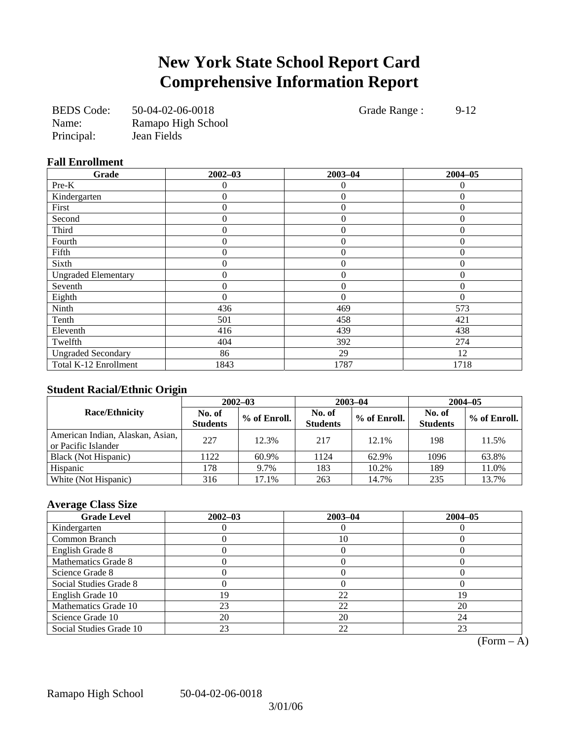## **New York State School Report Card Comprehensive Information Report**

| <b>BEDS</b> Code: | 50-04-02-06-0018   |
|-------------------|--------------------|
| Name:             | Ramapo High School |
| Principal:        | Jean Fields        |

Grade Range : 9-12

### **Fall Enrollment**

| Grade                      | $2002 - 03$      | $2003 - 04$      | $2004 - 05$      |
|----------------------------|------------------|------------------|------------------|
| Pre-K                      | 0                | $\Omega$         | 0                |
| Kindergarten               | 0                | $\overline{0}$   | $\Omega$         |
| First                      | 0                | $\overline{0}$   | $\Omega$         |
| Second                     | $\theta$         | $\theta$         | $\theta$         |
| Third                      | 0                | $\boldsymbol{0}$ | $\boldsymbol{0}$ |
| Fourth                     | $\overline{0}$   | $\overline{0}$   | $\mathbf{0}$     |
| Fifth                      | $\boldsymbol{0}$ | $\theta$         | $\mathbf{0}$     |
| Sixth                      | 0                | $\theta$         | $\Omega$         |
| <b>Ungraded Elementary</b> | 0                | $\overline{0}$   | $\theta$         |
| Seventh                    | 0                | $\mathbf{0}$     | 0                |
| Eighth                     | $\theta$         | $\theta$         | $\Omega$         |
| Ninth                      | 436              | 469              | 573              |
| Tenth                      | 501              | 458              | 421              |
| Eleventh                   | 416              | 439              | 438              |
| Twelfth                    | 404              | 392              | 274              |
| <b>Ungraded Secondary</b>  | 86               | 29               | 12               |
| Total K-12 Enrollment      | 1843             | 1787             | 1718             |

### **Student Racial/Ethnic Origin**

| ້                                                       | $2002 - 03$               |              |                           | $2003 - 04$  | $2004 - 05$               |              |  |
|---------------------------------------------------------|---------------------------|--------------|---------------------------|--------------|---------------------------|--------------|--|
| <b>Race/Ethnicity</b>                                   | No. of<br><b>Students</b> | % of Enroll. | No. of<br><b>Students</b> | % of Enroll. | No. of<br><b>Students</b> | % of Enroll. |  |
| American Indian, Alaskan, Asian,<br>or Pacific Islander | 227                       | 12.3%        | 217                       | 12.1%        | 198                       | 11.5%        |  |
| Black (Not Hispanic)                                    | 122                       | 60.9%        | 1124                      | 62.9%        | 1096                      | 63.8%        |  |
| Hispanic                                                | 178                       | 9.7%         | 183                       | 10.2%        | 189                       | 11.0%        |  |
| White (Not Hispanic)                                    | 316                       | 17.1%        | 263                       | 14.7%        | 235                       | 13.7%        |  |

### **Average Class Size**

| <b>Grade Level</b>      | $2002 - 03$ | $2003 - 04$ | $2004 - 05$ |
|-------------------------|-------------|-------------|-------------|
| Kindergarten            |             |             |             |
| Common Branch           |             | 10          |             |
| English Grade 8         |             |             |             |
| Mathematics Grade 8     |             |             |             |
| Science Grade 8         |             |             |             |
| Social Studies Grade 8  |             |             |             |
| English Grade 10        | ۱9          | 22          | 19          |
| Mathematics Grade 10    | 23          | 22          | 20          |
| Science Grade 10        | 20          | 20          | 24          |
| Social Studies Grade 10 | 23          | 22          |             |

 $\overline{(Form - A)}$ 

Ramapo High School 50-04-02-06-0018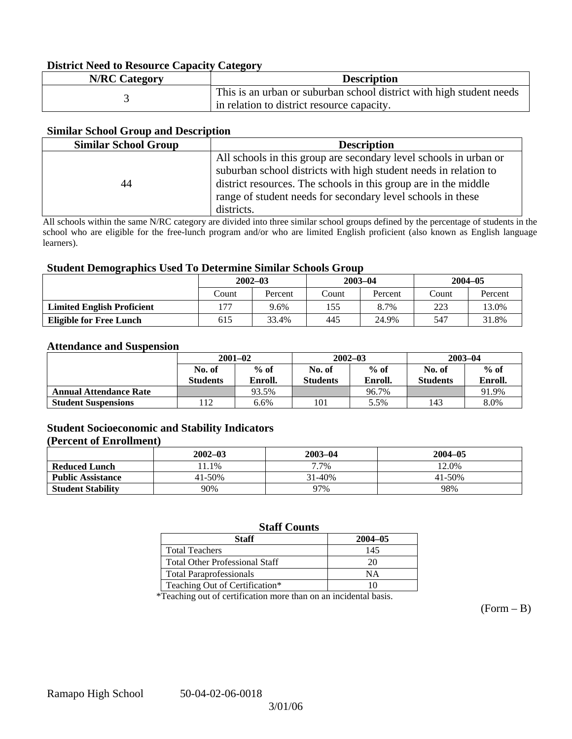### **District Need to Resource Capacity Category**

| <b>N/RC Category</b> | <b>Description</b>                                                   |
|----------------------|----------------------------------------------------------------------|
|                      | This is an urban or suburban school district with high student needs |
|                      | in relation to district resource capacity.                           |

### **Similar School Group and Description**

| <b>Similar School Group</b> | <b>Description</b>                                                                                                                    |
|-----------------------------|---------------------------------------------------------------------------------------------------------------------------------------|
|                             | All schools in this group are secondary level schools in urban or<br>suburban school districts with high student needs in relation to |
| 44                          | district resources. The schools in this group are in the middle                                                                       |
|                             | range of student needs for secondary level schools in these                                                                           |
|                             | districts.                                                                                                                            |

All schools within the same N/RC category are divided into three similar school groups defined by the percentage of students in the school who are eligible for the free-lunch program and/or who are limited English proficient (also known as English language learners).

### **Student Demographics Used To Determine Similar Schools Group**

|                                   | $2002 - 03$ |         | $2003 - 04$ |         | $2004 - 05$ |         |
|-----------------------------------|-------------|---------|-------------|---------|-------------|---------|
|                                   | Count       | Percent | .`ount      | Percent | Count       | Percent |
| <b>Limited English Proficient</b> | ר ו<br>9.6% |         | 155         | 8.7%    | 223         | 13.0%   |
| <b>Eligible for Free Lunch</b>    | 615         | 33.4%   | 445         | 24.9%   | 547         | 31.8%   |

#### **Attendance and Suspension**

|                               | $2001 - 02$      |         |                  | $2002 - 03$ | $2003 - 04$     |         |
|-------------------------------|------------------|---------|------------------|-------------|-----------------|---------|
|                               | $%$ of<br>No. of |         | $%$ of<br>No. of |             | No. of          | $%$ of  |
|                               | <b>Students</b>  | Enroll. | Students         | Enroll.     | <b>Students</b> | Enroll. |
| <b>Annual Attendance Rate</b> |                  | 93.5%   |                  | 96.7%       |                 | 91.9%   |
| <b>Student Suspensions</b>    | 12               | 6.6%    | 101              | 5.5%        | 143             | 8.0%    |

### **Student Socioeconomic and Stability Indicators (Percent of Enrollment)**

|                          | $2002 - 03$ | 2003-04 | $2004 - 05$ |
|--------------------------|-------------|---------|-------------|
| <b>Reduced Lunch</b>     | 1.1%        | 7.7%    | 12.0%       |
| <b>Public Assistance</b> | 41-50%      | 31-40%  | 41-50%      |
| <b>Student Stability</b> | 90%         | 97%     | 98%         |

### **Staff Counts**

| Staff                                 | $2004 - 05$ |
|---------------------------------------|-------------|
| <b>Total Teachers</b>                 | 145         |
| <b>Total Other Professional Staff</b> | 20          |
| <b>Total Paraprofessionals</b>        | NΑ          |
| Teaching Out of Certification*        |             |

\*Teaching out of certification more than on an incidental basis.

 $(Form - B)$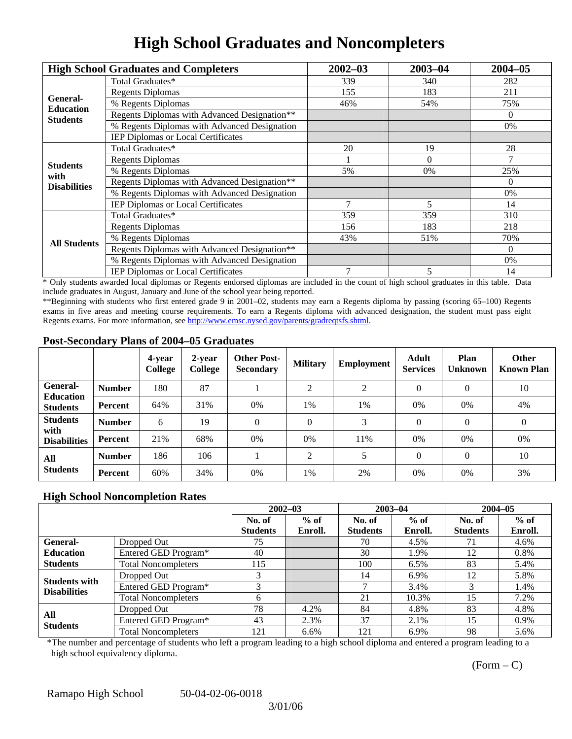## **High School Graduates and Noncompleters**

|                         | <b>High School Graduates and Completers</b>  | $2002 - 03$ | $2003 - 04$ | $2004 - 05$ |
|-------------------------|----------------------------------------------|-------------|-------------|-------------|
|                         | Total Graduates*                             | 339         | 340         | 282         |
| General-                | <b>Regents Diplomas</b>                      | 155         | 183         | 211         |
| <b>Education</b>        | % Regents Diplomas                           | 46%         | 54%         | 75%         |
| <b>Students</b>         | Regents Diplomas with Advanced Designation** |             |             | $\Omega$    |
|                         | % Regents Diplomas with Advanced Designation |             |             | 0%          |
|                         | IEP Diplomas or Local Certificates           |             |             |             |
|                         | Total Graduates*                             | 20          | 19          | 28          |
|                         | <b>Regents Diplomas</b>                      |             | $\Omega$    | 7           |
| <b>Students</b><br>with | % Regents Diplomas                           | 5%          | 0%          | 25%         |
| <b>Disabilities</b>     | Regents Diplomas with Advanced Designation** |             |             | $\Omega$    |
|                         | % Regents Diplomas with Advanced Designation |             |             | 0%          |
|                         | IEP Diplomas or Local Certificates           |             | 5           | 14          |
|                         | Total Graduates*                             | 359         | 359         | 310         |
|                         | <b>Regents Diplomas</b>                      | 156         | 183         | 218         |
| <b>All Students</b>     | % Regents Diplomas                           | 43%         | 51%         | 70%         |
|                         | Regents Diplomas with Advanced Designation** |             |             | $\Omega$    |
|                         | % Regents Diplomas with Advanced Designation |             |             | 0%          |
|                         | <b>IEP Diplomas or Local Certificates</b>    | 7           | 5           | 14          |

\* Only students awarded local diplomas or Regents endorsed diplomas are included in the count of high school graduates in this table. Data include graduates in August, January and June of the school year being reported.

\*\*Beginning with students who first entered grade 9 in 2001–02, students may earn a Regents diploma by passing (scoring 65–100) Regents exams in five areas and meeting course requirements. To earn a Regents diploma with advanced designation, the student must pass eight Regents exams. For more information, see http://www.emsc.nysed.gov/parents/gradreqtsfs.shtml.

### **Post-Secondary Plans of 2004–05 Graduates**

|                                     |                | 4-year<br><b>College</b> | 2-year<br>College | <b>Other Post-</b><br><b>Secondary</b> | <b>Military</b> | <b>Employment</b> | <b>Adult</b><br><b>Services</b> | <b>Plan</b><br><b>Unknown</b> | <b>Other</b><br><b>Known Plan</b> |
|-------------------------------------|----------------|--------------------------|-------------------|----------------------------------------|-----------------|-------------------|---------------------------------|-------------------------------|-----------------------------------|
| <b>General-</b>                     | <b>Number</b>  | 180                      | 87                |                                        | ↑               | $\overline{2}$    | $\Omega$                        | $\Omega$                      | 10                                |
| <b>Education</b><br><b>Students</b> | Percent        | 64%                      | 31%               | 0%                                     | 1%              | 1%                | 0%                              | 0%                            | 4%                                |
| <b>Students</b><br>with             | <b>Number</b>  | 6                        | 19                | 0                                      | $\theta$        | 3                 | $\Omega$                        | $\theta$                      | $\boldsymbol{0}$                  |
| <b>Disabilities</b>                 | Percent        | 21%                      | 68%               | 0%                                     | 0%              | 11%               | 0%                              | 0%                            | 0%                                |
| All                                 | <b>Number</b>  | 186                      | 106               |                                        | ↑               |                   | $\Omega$                        | $\Omega$                      | 10                                |
| <b>Students</b>                     | <b>Percent</b> | 60%                      | 34%               | 0%                                     | 1%              | 2%                | 0%                              | 0%                            | 3%                                |

### **High School Noncompletion Rates**

|                        |                            |                 | $2002 - 03$ | $2003 - 04$     |         | $2004 - 05$     |         |
|------------------------|----------------------------|-----------------|-------------|-----------------|---------|-----------------|---------|
|                        |                            | No. of          | $%$ of      | No. of          | $%$ of  | No. of          | $%$ of  |
|                        |                            | <b>Students</b> | Enroll.     | <b>Students</b> | Enroll. | <b>Students</b> | Enroll. |
| General-               | Dropped Out                | 75              |             | 70              | 4.5%    | 71              | 4.6%    |
| <b>Education</b>       | Entered GED Program*       | 40              |             | 30              | 1.9%    | 12              | 0.8%    |
| <b>Students</b>        | <b>Total Noncompleters</b> | 115             |             | 100             | 6.5%    | 83              | 5.4%    |
| <b>Students with</b>   | Dropped Out                | 3               |             | 14              | 6.9%    | 12              | 5.8%    |
| <b>Disabilities</b>    | Entered GED Program*       |                 |             |                 | 3.4%    |                 | 1.4%    |
|                        | <b>Total Noncompleters</b> | 6               |             | 21              | 10.3%   | 15              | 7.2%    |
| All<br><b>Students</b> | Dropped Out                | 78              | 4.2%        | 84              | 4.8%    | 83              | 4.8%    |
|                        | Entered GED Program*       | 43              | 2.3%        | 37              | 2.1%    | 15              | $0.9\%$ |
|                        | <b>Total Noncompleters</b> | 121             | $6.6\%$     | 121             | 6.9%    | 98              | 5.6%    |

\*The number and percentage of students who left a program leading to a high school diploma and entered a program leading to a high school equivalency diploma.

 $(Form - C)$ 

Ramapo High School 50-04-02-06-0018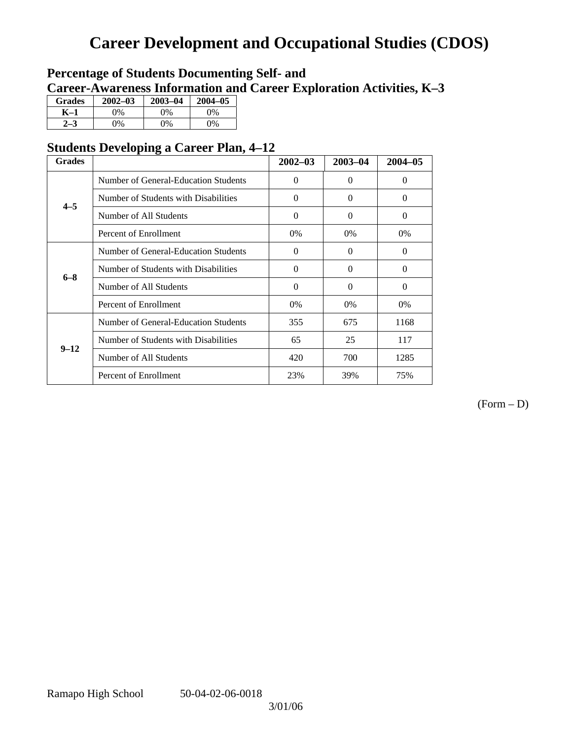## **Career Development and Occupational Studies (CDOS)**

### **Percentage of Students Documenting Self- and Career-Awareness Information and Career Exploration Activities, K–3**

| <b>Grades</b> | $2002 - 03$ | $2003 - 04$ | $2004 - 05$ |
|---------------|-------------|-------------|-------------|
| K–1           | 0%          | $0\%$       | 0%          |
|               | $\gamma\%$  | $0\%$       | $0\%$       |

### **Students Developing a Career Plan, 4–12**

| <b>Grades</b>                                   |                                      | $2002 - 03$ | 2003-04  | $2004 - 05$ |
|-------------------------------------------------|--------------------------------------|-------------|----------|-------------|
|                                                 | Number of General-Education Students | $\Omega$    | $\Omega$ | $\Omega$    |
| Number of Students with Disabilities<br>$4 - 5$ |                                      | $\Omega$    | $\Omega$ | $\Omega$    |
|                                                 | Number of All Students               | $\Omega$    | $\Omega$ | $\Omega$    |
|                                                 | Percent of Enrollment                | 0%          | $0\%$    | 0%          |
|                                                 | Number of General-Education Students | $\Omega$    | $\Omega$ | $\Omega$    |
| $6 - 8$                                         | Number of Students with Disabilities | $\Omega$    | $\Omega$ | $\Omega$    |
|                                                 | Number of All Students               | $\Omega$    | $\Omega$ | $\Omega$    |
|                                                 | Percent of Enrollment                | 0%          | $0\%$    | 0%          |
|                                                 | Number of General-Education Students | 355         | 675      | 1168        |
| $9 - 12$                                        | Number of Students with Disabilities | 65          | 25       | 117         |
|                                                 | Number of All Students               | 420         | 700      | 1285        |
|                                                 | Percent of Enrollment                | 23%         | 39%      | 75%         |

(Form – D)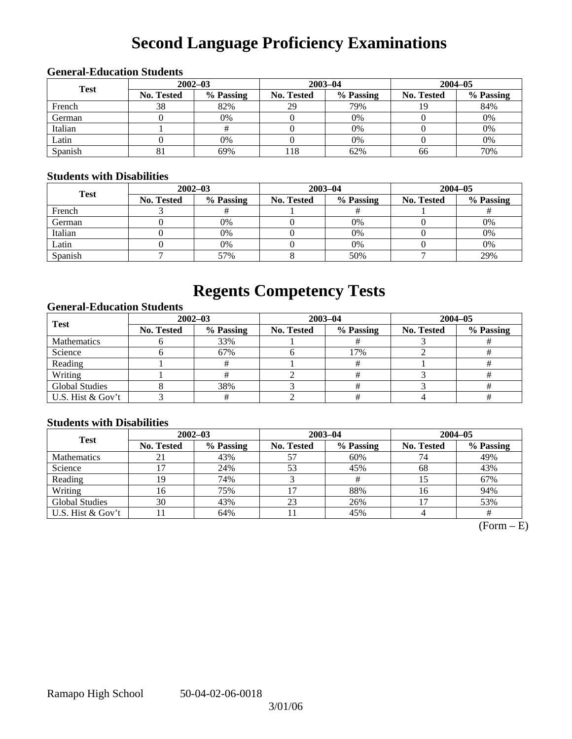# **Second Language Proficiency Examinations**

| <b>Test</b> |                   | $2002 - 03$ |                   | $2003 - 04$ | $2004 - 05$       |           |  |  |  |
|-------------|-------------------|-------------|-------------------|-------------|-------------------|-----------|--|--|--|
|             | <b>No. Tested</b> | % Passing   | <b>No. Tested</b> | % Passing   | <b>No. Tested</b> | % Passing |  |  |  |
| French      | 38                | 82%         | 29                | 79%         | 19                | 84%       |  |  |  |
| German      |                   | 0%          |                   | 0%          |                   | 0%        |  |  |  |
| Italian     |                   |             |                   | $0\%$       |                   | 0%        |  |  |  |
| Latin       |                   | 0%          |                   | 0%          |                   | 0%        |  |  |  |
| Spanish     | ŌΙ                | 69%         | 118               | 62%         | 66                | 70%       |  |  |  |

### **General-Education Students**

### **Students with Disabilities**

| <b>Test</b> |                   | $2002 - 03$ |            | $2003 - 04$ | $2004 - 05$       |           |  |
|-------------|-------------------|-------------|------------|-------------|-------------------|-----------|--|
|             | <b>No. Tested</b> | % Passing   | No. Tested | % Passing   | <b>No. Tested</b> | % Passing |  |
| French      |                   |             |            |             |                   |           |  |
| German      |                   | $0\%$       |            | 0%          |                   | 0%        |  |
| Italian     |                   | $0\%$       |            | 0%          |                   | 0%        |  |
| Latin       |                   | 0%          |            | 0%          |                   | 0%        |  |
| Spanish     |                   | 57%         |            | 50%         |                   | 29%       |  |

## **Regents Competency Tests**

### **General-Education Students**

| <b>Test</b>           | $2002 - 03$       |           | $2003 - 04$ |           | $2004 - 05$       |           |  |
|-----------------------|-------------------|-----------|-------------|-----------|-------------------|-----------|--|
|                       | <b>No. Tested</b> | % Passing | No. Tested  | % Passing | <b>No. Tested</b> | % Passing |  |
| <b>Mathematics</b>    |                   | 33%       |             |           |                   |           |  |
| Science               |                   | 67%       |             | 17%       |                   |           |  |
| Reading               |                   |           |             |           |                   |           |  |
| Writing               |                   |           |             |           |                   |           |  |
| <b>Global Studies</b> |                   | 38%       |             |           |                   |           |  |
| U.S. Hist & Gov't     |                   |           |             |           |                   |           |  |

### **Students with Disabilities**

| <b>Test</b>           | $2002 - 03$       |           | $2003 - 04$ |           | $2004 - 05$       |           |  |
|-----------------------|-------------------|-----------|-------------|-----------|-------------------|-----------|--|
|                       | <b>No. Tested</b> | % Passing | No. Tested  | % Passing | <b>No. Tested</b> | % Passing |  |
| <b>Mathematics</b>    | 21                | 43%       | 57          | 60%       |                   | 49%       |  |
| Science               |                   | 24%       | 53          | 45%       | 68                | 43%       |  |
| Reading               | 19                | 74%       |             |           |                   | 67%       |  |
| Writing               | 16                | 75%       | 17          | 88%       | 16                | 94%       |  |
| <b>Global Studies</b> | 30                | 43%       | 23          | 26%       |                   | 53%       |  |
| U.S. Hist & Gov't     |                   | 64%       | 11          | 45%       |                   |           |  |

 $(Form - E)$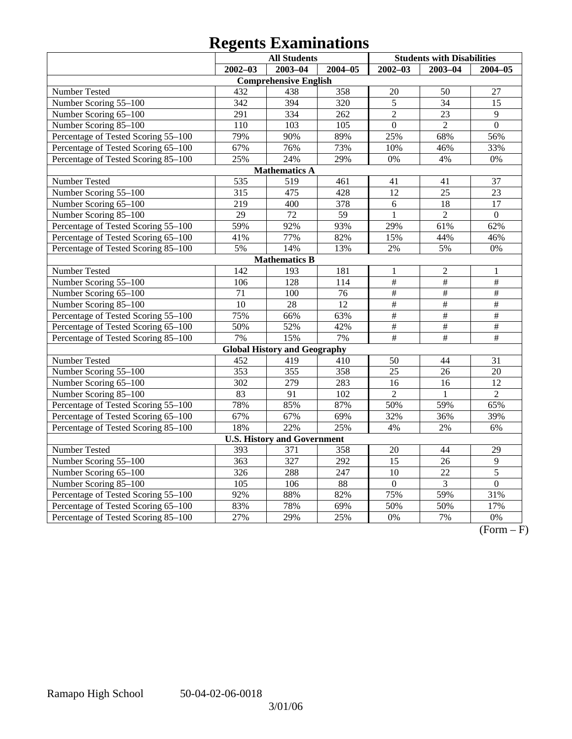# **Regents Examinations**

| <b>All Students</b>                 |                  |                                     |                  | <b>Students with Disabilities</b> |                 |                         |  |  |
|-------------------------------------|------------------|-------------------------------------|------------------|-----------------------------------|-----------------|-------------------------|--|--|
|                                     | $2002 - 03$      | $2003 - 04$                         | $2004 - 05$      | $2002 - 03$                       | $2003 - 04$     | $2004 - 05$             |  |  |
|                                     |                  | <b>Comprehensive English</b>        |                  |                                   |                 |                         |  |  |
| Number Tested                       | 432              | 438                                 | 358              | $20\,$                            | 50              | 27                      |  |  |
| Number Scoring 55-100               | 342              | 394                                 | 320              | 5                                 | 34              | 15                      |  |  |
| Number Scoring 65-100               | 291              | 334                                 | 262              | $\overline{2}$                    | 23              | 9                       |  |  |
| Number Scoring 85-100               | $\overline{110}$ | $\overline{103}$                    | $\overline{105}$ | $\overline{0}$                    | $\overline{2}$  | $\overline{0}$          |  |  |
| Percentage of Tested Scoring 55-100 | 79%              | 90%                                 | 89%              | 25%                               | 68%             | 56%                     |  |  |
| Percentage of Tested Scoring 65-100 | 67%              | 76%                                 | 73%              | 10%                               | 46%             | 33%                     |  |  |
| Percentage of Tested Scoring 85-100 | 25%              | 24%                                 | 29%              | 0%                                | 4%              | 0%                      |  |  |
|                                     |                  | <b>Mathematics A</b>                |                  |                                   |                 |                         |  |  |
| Number Tested                       | 535              | 519                                 | 461              | 41                                | 41              | 37                      |  |  |
| Number Scoring 55-100               | 315              | 475                                 | 428              | 12                                | 25              | 23                      |  |  |
| Number Scoring 65-100               | 219              | 400                                 | 378              | 6                                 | 18              | $\overline{17}$         |  |  |
| Number Scoring 85-100               | $\overline{29}$  | 72                                  | $\overline{59}$  | $\mathbf{1}$                      | $\overline{2}$  | $\overline{0}$          |  |  |
| Percentage of Tested Scoring 55-100 | 59%              | 92%                                 | 93%              | 29%                               | 61%             | 62%                     |  |  |
| Percentage of Tested Scoring 65-100 | 41%              | 77%                                 | 82%              | 15%                               | 44%             | 46%                     |  |  |
| Percentage of Tested Scoring 85-100 | 5%               | 14%                                 | 13%              | 2%                                | 5%              | 0%                      |  |  |
|                                     |                  | <b>Mathematics B</b>                |                  |                                   |                 |                         |  |  |
| Number Tested                       | 142              | 193                                 | 181              | $\mathbf{1}$                      | $\overline{c}$  | 1                       |  |  |
| Number Scoring 55-100               | 106              | 128                                 | 114              | #                                 | $\#$            | $\#$                    |  |  |
| Number Scoring 65-100               | 71               | 100                                 | 76               | $\overline{\#}$                   | $\overline{\#}$ | $\overline{\#}$         |  |  |
| Number Scoring 85-100               | $\overline{10}$  | $\overline{28}$                     | $\overline{12}$  | $\overline{\#}$                   | $\overline{\#}$ | $\overline{\#}$         |  |  |
| Percentage of Tested Scoring 55-100 | 75%              | 66%                                 | 63%              | #                                 | $\overline{\#}$ | $\#$                    |  |  |
| Percentage of Tested Scoring 65-100 | 50%              | 52%                                 | 42%              | $\overline{\#}$                   | $\frac{1}{2}$   | $\overline{\#}$         |  |  |
| Percentage of Tested Scoring 85-100 | 7%               | 15%                                 | 7%               | $\overline{\#}$                   | $\overline{\#}$ | $\overline{\ddot{\pi}}$ |  |  |
|                                     |                  | <b>Global History and Geography</b> |                  |                                   |                 |                         |  |  |
| Number Tested                       | 452              | 419                                 | 410              | 50                                | 44              | 31                      |  |  |
| Number Scoring $5\overline{5-100}$  | 353              | 355                                 | 358              | 25                                | 26              | 20                      |  |  |
| Number Scoring 65-100               | 302              | 279                                 | 283              | 16                                | 16              | 12                      |  |  |
| Number Scoring 85-100               | 83               | 91                                  | 102              | $\overline{2}$                    | 1               | $\overline{2}$          |  |  |
| Percentage of Tested Scoring 55-100 | 78%              | 85%                                 | 87%              | 50%                               | 59%             | 65%                     |  |  |
| Percentage of Tested Scoring 65-100 | 67%              | 67%                                 | 69%              | 32%                               | 36%             | 39%                     |  |  |
| Percentage of Tested Scoring 85-100 | 18%              | 22%                                 | 25%              | 4%                                | 2%              | 6%                      |  |  |
| <b>U.S. History and Government</b>  |                  |                                     |                  |                                   |                 |                         |  |  |
| Number Tested                       | 393              | 371                                 | 358              | 20                                | 44              | 29                      |  |  |
| Number Scoring 55-100               | $\overline{363}$ | $\overline{327}$                    | $\overline{292}$ | $\overline{15}$                   | 26              | $\overline{9}$          |  |  |
| Number Scoring 65-100               | 326              | 288                                 | 247              | 10                                | 22              | 5                       |  |  |
| Number Scoring 85-100               | $\overline{105}$ | 106                                 | 88               | $\boldsymbol{0}$                  | $\overline{3}$  | $\overline{0}$          |  |  |
| Percentage of Tested Scoring 55-100 | 92%              | 88%                                 | 82%              | 75%                               | 59%             | 31%                     |  |  |
| Percentage of Tested Scoring 65-100 | 83%              | 78%                                 | 69%              | 50%                               | 50%             | 17%                     |  |  |
| Percentage of Tested Scoring 85-100 | 27%              | 29%                                 | 25%              | 0%                                | 7%              | 0%                      |  |  |

 $\overline{(Form - F)}$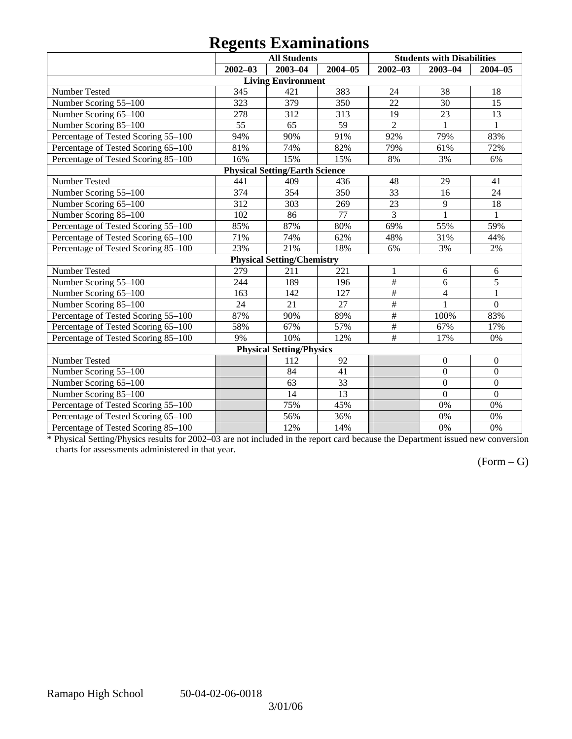# **Regents Examinations**

|                                     | o<br><b>All Students</b> |                                       |             | <b>Students with Disabilities</b> |                  |                  |  |  |
|-------------------------------------|--------------------------|---------------------------------------|-------------|-----------------------------------|------------------|------------------|--|--|
|                                     | $2002 - 03$              | $2003 - 04$                           | $2004 - 05$ | $2002 - 03$                       | $2003 - 04$      | $2004 - 05$      |  |  |
|                                     |                          | <b>Living Environment</b>             |             |                                   |                  |                  |  |  |
| Number Tested                       | 345                      | 421                                   | 383         | 24                                | 38               | 18               |  |  |
| Number Scoring 55-100               | 323                      | 379                                   | 350         | 22                                | 30               | 15               |  |  |
| Number Scoring 65-100               | 278                      | 312                                   | 313         | 19                                | 23               | 13               |  |  |
| Number Scoring 85-100               | 55                       | 65                                    | 59          | $\overline{2}$                    | $\mathbf{1}$     | $\mathbf{1}$     |  |  |
| Percentage of Tested Scoring 55-100 | 94%                      | 90%                                   | 91%         | 92%                               | 79%              | 83%              |  |  |
| Percentage of Tested Scoring 65-100 | 81%                      | 74%                                   | 82%         | 79%                               | 61%              | 72%              |  |  |
| Percentage of Tested Scoring 85-100 | 16%                      | 15%                                   | 15%         | 8%                                | 3%               | 6%               |  |  |
|                                     |                          | <b>Physical Setting/Earth Science</b> |             |                                   |                  |                  |  |  |
| Number Tested                       | 441                      | 409                                   | 436         | 48                                | 29               | 41               |  |  |
| Number Scoring 55-100               | 374                      | 354                                   | 350         | 33                                | 16               | 24               |  |  |
| Number Scoring 65-100               | 312                      | 303                                   | 269         | 23                                | 9                | 18               |  |  |
| Number Scoring 85-100               | 102                      | 86                                    | 77          | $\overline{3}$                    | $\overline{1}$   | $\mathbf{1}$     |  |  |
| Percentage of Tested Scoring 55-100 | 85%                      | 87%                                   | 80%         | 69%                               | 55%              | 59%              |  |  |
| Percentage of Tested Scoring 65-100 | 71%                      | 74%                                   | 62%         | 48%                               | 31%              | 44%              |  |  |
| Percentage of Tested Scoring 85-100 | 23%                      | 21%                                   | 18%         | 6%                                | 3%               | 2%               |  |  |
|                                     |                          | <b>Physical Setting/Chemistry</b>     |             |                                   |                  |                  |  |  |
| Number Tested                       | 279                      | 211                                   | 221         | $\mathbf{1}$                      | 6                | 6                |  |  |
| Number Scoring 55-100               | 244                      | 189                                   | 196         | $\overline{\#}$                   | $\overline{6}$   | $\overline{5}$   |  |  |
| Number Scoring 65-100               | 163                      | 142                                   | 127         | $\overline{\#}$                   | $\overline{4}$   | $\mathbf{1}$     |  |  |
| Number Scoring 85-100               | 24                       | 21                                    | 27          | $\overline{\#}$                   | $\mathbf{1}$     | $\overline{0}$   |  |  |
| Percentage of Tested Scoring 55-100 | 87%                      | 90%                                   | 89%         | $\#$                              | 100%             | 83%              |  |  |
| Percentage of Tested Scoring 65-100 | 58%                      | 67%                                   | 57%         | $\#$                              | 67%              | 17%              |  |  |
| Percentage of Tested Scoring 85-100 | 9%                       | 10%                                   | 12%         | $\overline{\#}$                   | 17%              | 0%               |  |  |
| <b>Physical Setting/Physics</b>     |                          |                                       |             |                                   |                  |                  |  |  |
| Number Tested                       |                          | 112                                   | 92          |                                   | $\boldsymbol{0}$ | $\boldsymbol{0}$ |  |  |
| Number Scoring 55-100               |                          | 84                                    | 41          |                                   | $\mathbf{0}$     | $\boldsymbol{0}$ |  |  |
| Number Scoring 65-100               |                          | 63                                    | 33          |                                   | $\overline{0}$   | $\overline{0}$   |  |  |
| Number Scoring 85-100               |                          | 14                                    | 13          |                                   | $\mathbf{0}$     | $\mathbf{0}$     |  |  |
| Percentage of Tested Scoring 55-100 |                          | 75%                                   | 45%         |                                   | 0%               | 0%               |  |  |
| Percentage of Tested Scoring 65-100 |                          | 56%                                   | 36%         |                                   | 0%               | 0%               |  |  |
| Percentage of Tested Scoring 85-100 |                          | 12%                                   | 14%         |                                   | 0%               | 0%               |  |  |

\* Physical Setting/Physics results for 2002–03 are not included in the report card because the Department issued new conversion charts for assessments administered in that year.

### (Form – G)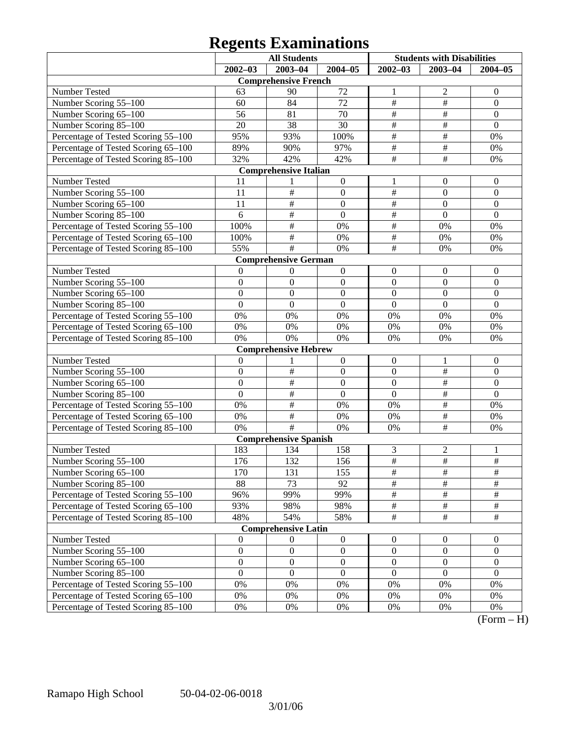# **Regents Examinations**

|                                     | <b>All Students</b> |                              |                  | <b>Students with Disabilities</b> |                         |                  |  |
|-------------------------------------|---------------------|------------------------------|------------------|-----------------------------------|-------------------------|------------------|--|
|                                     | $2002 - 03$         | 2003-04                      | $2004 - 05$      | $2002 - 03$                       | $2003 - 04$             | $2004 - 05$      |  |
|                                     |                     | <b>Comprehensive French</b>  |                  |                                   |                         |                  |  |
| Number Tested                       | 63                  | 90                           | 72               | 1                                 | $\overline{c}$          | $\mathbf{0}$     |  |
| Number Scoring 55-100               | 60                  | 84                           | 72               | $\overline{\#}$                   | $\#$                    | $\boldsymbol{0}$ |  |
| Number Scoring 65-100               | 56                  | 81                           | 70               | $\overline{\#}$                   | $\overline{\ddot{\pi}}$ | $\boldsymbol{0}$ |  |
| Number Scoring 85-100               | 20                  | 38                           | 30               | $\overline{\#}$                   | #                       | $\mathbf{0}$     |  |
| Percentage of Tested Scoring 55-100 | 95%                 | 93%                          | 100%             | $\overline{\#}$                   | $\overline{\#}$         | 0%               |  |
| Percentage of Tested Scoring 65-100 | 89%                 | 90%                          | 97%              | $\overline{\#}$                   | $\overline{\#}$         | 0%               |  |
| Percentage of Tested Scoring 85-100 | 32%                 | 42%                          | 42%              | $\overline{\#}$                   | $\overline{\#}$         | 0%               |  |
|                                     |                     | <b>Comprehensive Italian</b> |                  |                                   |                         |                  |  |
| Number Tested                       | 11                  | 1                            | $\boldsymbol{0}$ | 1                                 | $\boldsymbol{0}$        | $\mathbf{0}$     |  |
| Number Scoring 55-100               | 11                  | $\overline{\#}$              | $\boldsymbol{0}$ | $\overline{\#}$                   | $\boldsymbol{0}$        | $\boldsymbol{0}$ |  |
| Number Scoring 65-100               | 11                  | #                            | $\boldsymbol{0}$ | $\overline{\#}$                   | $\overline{0}$          | $\boldsymbol{0}$ |  |
| Number Scoring 85-100               | 6                   | #                            | $\mathbf{0}$     | $\overline{\#}$                   | $\mathbf{0}$            | $\mathbf{0}$     |  |
| Percentage of Tested Scoring 55-100 | 100%                | #                            | 0%               | $\overline{\#}$                   | 0%                      | 0%               |  |
| Percentage of Tested Scoring 65-100 | 100%                | $\overline{\ddot{\pi}}$      | 0%               | $\overline{\#}$                   | 0%                      | 0%               |  |
| Percentage of Tested Scoring 85-100 | 55%                 | $\#$                         | 0%               | $\overline{\#}$                   | 0%                      | 0%               |  |
|                                     |                     | <b>Comprehensive German</b>  |                  |                                   |                         |                  |  |
| Number Tested                       | $\mathbf{0}$        | $\boldsymbol{0}$             | $\boldsymbol{0}$ | $\boldsymbol{0}$                  | $\boldsymbol{0}$        | $\mathbf{0}$     |  |
| Number Scoring 55-100               | $\boldsymbol{0}$    | $\boldsymbol{0}$             | $\boldsymbol{0}$ | $\boldsymbol{0}$                  | $\boldsymbol{0}$        | $\boldsymbol{0}$ |  |
| Number Scoring 65-100               | $\boldsymbol{0}$    | $\boldsymbol{0}$             | $\boldsymbol{0}$ | $\boldsymbol{0}$                  | $\overline{0}$          | $\boldsymbol{0}$ |  |
| Number Scoring 85-100               | $\overline{0}$      | $\boldsymbol{0}$             | $\mathbf{0}$     | $\mathbf{0}$                      | $\mathbf{0}$            | $\overline{0}$   |  |
| Percentage of Tested Scoring 55-100 | 0%                  | 0%                           | 0%               | 0%                                | 0%                      | 0%               |  |
| Percentage of Tested Scoring 65-100 | 0%                  | 0%                           | $0\%$            | 0%                                | 0%                      | 0%               |  |
| Percentage of Tested Scoring 85-100 | 0%                  | 0%                           | 0%               | 0%                                | 0%                      | 0%               |  |
|                                     |                     | <b>Comprehensive Hebrew</b>  |                  |                                   |                         |                  |  |
| Number Tested                       | $\boldsymbol{0}$    | 1                            | $\boldsymbol{0}$ | $\boldsymbol{0}$                  | 1                       | $\mathbf{0}$     |  |
| Number Scoring 55-100               | $\boldsymbol{0}$    | $\overline{\#}$              | $\boldsymbol{0}$ | $\boldsymbol{0}$                  | $\overline{\#}$         | $\boldsymbol{0}$ |  |
| Number Scoring 65-100               | $\boldsymbol{0}$    | #                            | $\boldsymbol{0}$ | $\boldsymbol{0}$                  | #                       | $\boldsymbol{0}$ |  |
| Number Scoring 85-100               | $\overline{0}$      | #                            | $\mathbf{0}$     | $\mathbf{0}$                      | #                       | $\overline{0}$   |  |
| Percentage of Tested Scoring 55-100 | 0%                  | #                            | 0%               | 0%                                | #                       | 0%               |  |
| Percentage of Tested Scoring 65-100 | 0%                  | #                            | 0%               | 0%                                | $\frac{1}{2}$           | 0%               |  |
| Percentage of Tested Scoring 85-100 | 0%                  | #                            | 0%               | 0%                                | $\overline{\#}$         | 0%               |  |
|                                     |                     | <b>Comprehensive Spanish</b> |                  |                                   |                         |                  |  |
| Number Tested                       | 183                 | 134                          | 158              | 3                                 | $\overline{c}$          | 1                |  |
| Number Scoring 55-100               | 176                 | 132                          | 156              | $\overline{\#}$                   | $\overline{\#}$         | $\overline{\#}$  |  |
| Number Scoring 65-100               | 170                 | 131                          | 155              | #                                 | #                       | #                |  |
| Number Scoring 85-100               | 88                  | 73                           | 92               | $\overline{\#}$                   | $\overline{\#}$         | $\overline{\#}$  |  |
| Percentage of Tested Scoring 55-100 | 96%                 | 99%                          | 99%              | $\frac{1}{2}$                     | $\frac{1}{2}$           | $\#$             |  |
| Percentage of Tested Scoring 65-100 | 93%                 | 98%                          | 98%              | $\frac{1}{2}$                     | $\frac{1}{2}$           | $\frac{1}{2}$    |  |
| Percentage of Tested Scoring 85-100 | 48%                 | 54%                          | 58%              | $\frac{1}{2}$                     | $\frac{1}{2}$           | $\overline{\#}$  |  |
|                                     |                     | <b>Comprehensive Latin</b>   |                  |                                   |                         |                  |  |
| Number Tested                       | $\boldsymbol{0}$    | $\boldsymbol{0}$             | $\boldsymbol{0}$ | $\boldsymbol{0}$                  | $\mathbf{0}$            | $\overline{0}$   |  |
| Number Scoring 55-100               | $\boldsymbol{0}$    | $\boldsymbol{0}$             | $\boldsymbol{0}$ | $\boldsymbol{0}$                  | $\mathbf{0}$            | $\boldsymbol{0}$ |  |
| Number Scoring 65-100               | $\boldsymbol{0}$    | $\boldsymbol{0}$             | $\boldsymbol{0}$ | $\boldsymbol{0}$                  | $\boldsymbol{0}$        | $\boldsymbol{0}$ |  |
| Number Scoring 85-100               | $\boldsymbol{0}$    | $\boldsymbol{0}$             | $\boldsymbol{0}$ | $\boldsymbol{0}$                  | $\boldsymbol{0}$        | $\boldsymbol{0}$ |  |
| Percentage of Tested Scoring 55-100 | 0%                  | 0%                           | 0%               | 0%                                | 0%                      | 0%               |  |
| Percentage of Tested Scoring 65-100 | 0%                  | 0%                           | 0%               | 0%                                | 0%                      | 0%               |  |
| Percentage of Tested Scoring 85-100 | $0\%$               | 0%                           | 0%               | 0%                                | 0%                      | 0%               |  |

 $(Form - H)$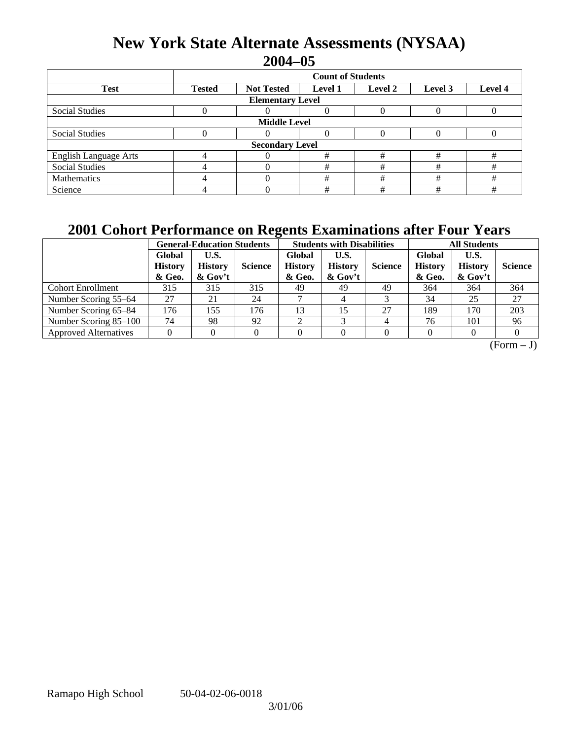## **New York State Alternate Assessments (NYSAA) 2004–05**

|                              | <b>Count of Students</b> |                        |                |         |         |         |  |  |  |  |
|------------------------------|--------------------------|------------------------|----------------|---------|---------|---------|--|--|--|--|
| <b>Test</b>                  | <b>Tested</b>            | <b>Not Tested</b>      | <b>Level 1</b> | Level 2 | Level 3 | Level 4 |  |  |  |  |
| <b>Elementary Level</b>      |                          |                        |                |         |         |         |  |  |  |  |
| <b>Social Studies</b>        |                          |                        |                |         |         |         |  |  |  |  |
| <b>Middle Level</b>          |                          |                        |                |         |         |         |  |  |  |  |
| <b>Social Studies</b>        |                          |                        |                |         |         |         |  |  |  |  |
|                              |                          | <b>Secondary Level</b> |                |         |         |         |  |  |  |  |
| <b>English Language Arts</b> | $\overline{4}$           |                        | #              | #       | #       | #       |  |  |  |  |
| <b>Social Studies</b>        |                          |                        | #              | #       | #       | #       |  |  |  |  |
| Mathematics                  |                          |                        | #              | #       | #       | #       |  |  |  |  |
| Science                      |                          |                        | #              | #       | #       | #       |  |  |  |  |

## **2001 Cohort Performance on Regents Examinations after Four Years**

|                              |                                    | <b>General-Education Students</b>    |                |                                    | <b>Students with Disabilities</b>    |                |                                    | <b>All Students</b>               |                |  |
|------------------------------|------------------------------------|--------------------------------------|----------------|------------------------------------|--------------------------------------|----------------|------------------------------------|-----------------------------------|----------------|--|
|                              | Global<br><b>History</b><br>& Geo. | U.S.<br><b>History</b><br>$\&$ Gov't | <b>Science</b> | Global<br><b>History</b><br>& Geo. | U.S.<br><b>History</b><br>$\&$ Gov't | <b>Science</b> | Global<br><b>History</b><br>& Geo. | U.S.<br><b>History</b><br>& Gov't | <b>Science</b> |  |
| <b>Cohort Enrollment</b>     | 315                                | 315                                  | 315            | 49                                 | 49                                   | 49             | 364                                | 364                               | 364            |  |
| Number Scoring 55–64         | 27                                 | 21                                   | 24             |                                    |                                      |                | 34                                 | 25                                | 27             |  |
| Number Scoring 65–84         | 176                                | 155                                  | 176            | 13                                 | 15                                   | 27             | 189                                | 170                               | 203            |  |
| Number Scoring 85–100        | 74                                 | 98                                   | 92             | ◠                                  | ⌒                                    |                | 76                                 | 101                               | 96             |  |
| <b>Approved Alternatives</b> |                                    |                                      |                |                                    |                                      |                |                                    |                                   |                |  |

 $(Form - J)$